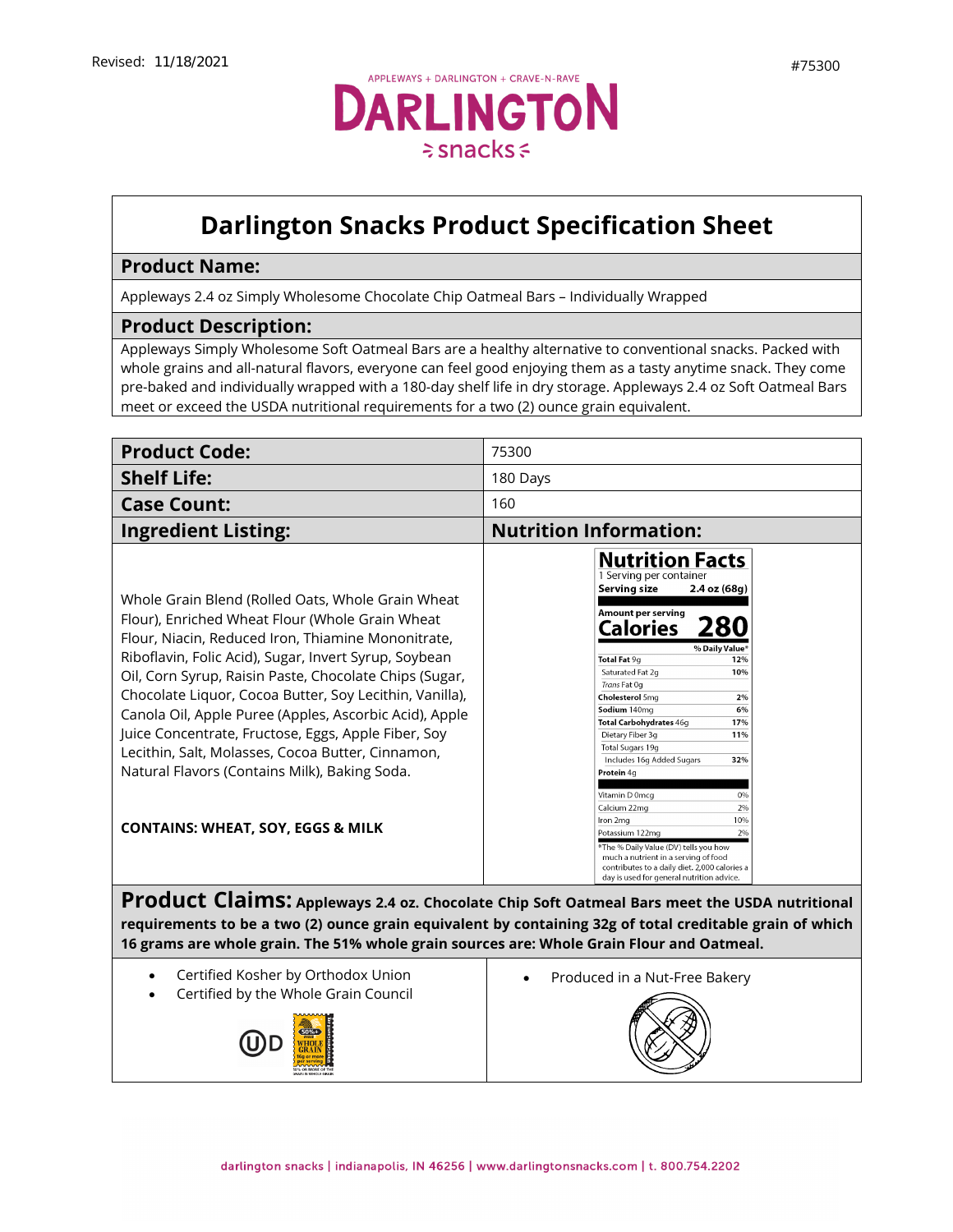

## **Darlington Snacks Product Specification Sheet**

## **Product Name:**

Appleways 2.4 oz Simply Wholesome Chocolate Chip Oatmeal Bars – Individually Wrapped

## **Product Description:**

Appleways Simply Wholesome Soft Oatmeal Bars are a healthy alternative to conventional snacks. Packed with whole grains and all-natural flavors, everyone can feel good enjoying them as a tasty anytime snack. They come pre-baked and individually wrapped with a 180-day shelf life in dry storage. Appleways 2.4 oz Soft Oatmeal Bars meet or exceed the USDA nutritional requirements for a two (2) ounce grain equivalent.

| <b>Product Code:</b>                                                                                                                                                                                                                                                                                                                                                                                                                                                                                                                                                                                            | 75300                                                                                                                                                                                                                                                                                                                                                                                                                                                                                                                                                                                                                                                                                |  |
|-----------------------------------------------------------------------------------------------------------------------------------------------------------------------------------------------------------------------------------------------------------------------------------------------------------------------------------------------------------------------------------------------------------------------------------------------------------------------------------------------------------------------------------------------------------------------------------------------------------------|--------------------------------------------------------------------------------------------------------------------------------------------------------------------------------------------------------------------------------------------------------------------------------------------------------------------------------------------------------------------------------------------------------------------------------------------------------------------------------------------------------------------------------------------------------------------------------------------------------------------------------------------------------------------------------------|--|
| <b>Shelf Life:</b>                                                                                                                                                                                                                                                                                                                                                                                                                                                                                                                                                                                              | 180 Days                                                                                                                                                                                                                                                                                                                                                                                                                                                                                                                                                                                                                                                                             |  |
| <b>Case Count:</b>                                                                                                                                                                                                                                                                                                                                                                                                                                                                                                                                                                                              | 160                                                                                                                                                                                                                                                                                                                                                                                                                                                                                                                                                                                                                                                                                  |  |
| <b>Ingredient Listing:</b>                                                                                                                                                                                                                                                                                                                                                                                                                                                                                                                                                                                      | <b>Nutrition Information:</b>                                                                                                                                                                                                                                                                                                                                                                                                                                                                                                                                                                                                                                                        |  |
| Whole Grain Blend (Rolled Oats, Whole Grain Wheat<br>Flour), Enriched Wheat Flour (Whole Grain Wheat<br>Flour, Niacin, Reduced Iron, Thiamine Mononitrate,<br>Riboflavin, Folic Acid), Sugar, Invert Syrup, Soybean<br>Oil, Corn Syrup, Raisin Paste, Chocolate Chips (Sugar,<br>Chocolate Liquor, Cocoa Butter, Soy Lecithin, Vanilla),<br>Canola Oil, Apple Puree (Apples, Ascorbic Acid), Apple<br>Juice Concentrate, Fructose, Eggs, Apple Fiber, Soy<br>Lecithin, Salt, Molasses, Cocoa Butter, Cinnamon,<br>Natural Flavors (Contains Milk), Baking Soda.<br><b>CONTAINS: WHEAT, SOY, EGGS &amp; MILK</b> | <b>Nutrition Facts</b><br>1 Serving per container<br>Serving size<br>$2.4$ oz $(68g)$<br>Amount per serving<br>280<br>Calories<br>% Daily Value*<br>Total Fat 9g<br>12%<br>Saturated Fat 2g<br>10%<br>Trans Fat Og<br><b>Cholesterol 5mg</b><br>2%<br>Sodium 140mg<br>6%<br>Total Carbohydrates 46g<br>17%<br>Dietary Fiber 3q<br>11%<br>Total Sugars 19g<br>Includes 16g Added Sugars<br>32%<br>Protein 4g<br>Vitamin D 0mcg<br>0%<br>Calcium 22mg<br>2%<br>10%<br>Iron 2mg<br>2%<br>Potassium 122mg<br>*The % Daily Value (DV) tells you how<br>much a nutrient in a serving of food<br>contributes to a daily diet. 2,000 calories a<br>day is used for general nutrition advice. |  |
| Product Claims: Appleways 2.4 oz. Chocolate Chip Soft Oatmeal Bars meet the USDA nutritional<br>requirements to be a two (2) ounce grain equivalent by containing 32g of total creditable grain of which                                                                                                                                                                                                                                                                                                                                                                                                        |                                                                                                                                                                                                                                                                                                                                                                                                                                                                                                                                                                                                                                                                                      |  |

**16 grams are whole grain. The 51% whole grain sources are: Whole Grain Flour and Oatmeal.**

- Certified Kosher by Orthodox Union
- Certified by the Whole Grain Council



• [Produced](https://darlingtonfarms.serverdata.net/Marketing/Product/Internal%20Spec%20Sheets%20DO%20NOT%20USE!/Vending%20Appleways%20Spec%20Sheet%20-%2070120%20-%201%202%20oz%20-%20Apple%20Oatmeal.doc) in a Nut-Free Bakery